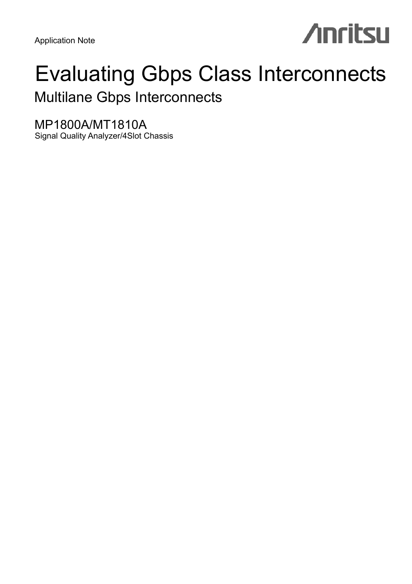Application Note

# **Anritsu**

# Evaluating Gbps Class Interconnects

Multilane Gbps Interconnects

MP1800A/MT1810A Signal Quality Analyzer/4Slot Chassis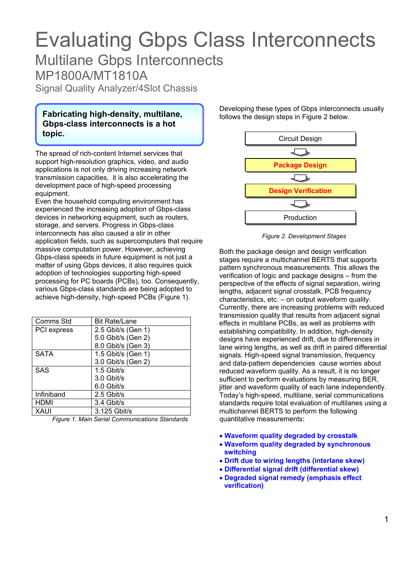# Evaluating Gbps Class Interconnects Multilane Gbps Interconnects

MP1800A/MT1810A

Signal Quality Analyzer/4Slot Chassis

**Fabricating high-density, multilane, Gbps-class interconnects is a hot topic.** Circuit Design and Circuit Design and Circuit Design and Circuit Design and Circuit Design and Circuit Design

The spread of rich-content Internet services that support high-resolution graphics, video, and audio applications is not only driving increasing network transmission capacities, it is also accelerating the development pace of high-speed processing equipment.

Even the household computing environment has experienced the increasing adoption of Gbps-class devices in networking equipment, such as routers, storage, and servers. Progress in Gbps-class interconnects has also caused a stir in other application fields, such as supercomputers that require massive computation power. However, achieving Gbps-class speeds in future equipment is not just a matter of using Gbps devices, it also requires quick adoption of technologies supporting high-speed processing for PC boards (PCBs), too. Consequently, various Gbps-class standards are being adopted to achieve high-density, high-speed PCBs (Figure 1).

| Comms Std   | <b>Bit Rate/Lane</b> |
|-------------|----------------------|
| PCI express | 2.5 Gbit/s (Gen 1)   |
|             | 5.0 Gbit/s (Gen 2)   |
|             | 8.0 Gbit/s (Gen 3)   |
| <b>SATA</b> | 1.5 Gbit/s (Gen 1)   |
|             | 3.0 Gbit/s (Gen 2)   |
| <b>SAS</b>  | 1.5 Gbit/s           |
|             | 3.0 Gbit/s           |
|             | 6.0 Gbit/s           |
| Infiniband  | 2.5 Gbit/s           |
| <b>HDMI</b> | 3.4 Gbit/s           |
| XAUI        | 3.125 Gbit/s         |

*Figure 1. Main Serial Communications Standards* 

Developing these types of Gbps interconnects usually follows the design steps in Figure 2 below.



*Figure 2. Development Stages*

Both the package design and design verification stages require a multichannel BERTS that supports pattern synchronous measurements. This allows the verification of logic and package designs – from the perspective of the effects of signal separation, wiring lengths, adjacent signal crosstalk, PCB frequency characteristics, etc. – on output waveform quality. Currently, there are increasing problems with reduced transmission quality that results from adjacent signal effects in multilane PCBs, as well as problems with establishing compatibility. In addition, high-density designs have experienced drift, due to differences in lane wiring lengths, as well as drift in paired differential signals. High-speed signal transmission, frequency and data-pattern dependencies cause worries about reduced waveform quality. As a result, it is no longer sufficient to perform evaluations by measuring BER, iitter and waveform quality of each lane independently. Today's high-speed, multilane, serial communications standards require total evaluation of multilanes using a multichannel BERTS to perform the following quantitative measurements**:** 

- • **Waveform quality degraded by crosstalk**
- • **Waveform quality degraded by synchronous switching**
- • **Drift due to wiring lengths (interlane skew)**
- • **Differential signal drift (differential skew)**
- • **Degraded signal remedy (emphasis effect verification)**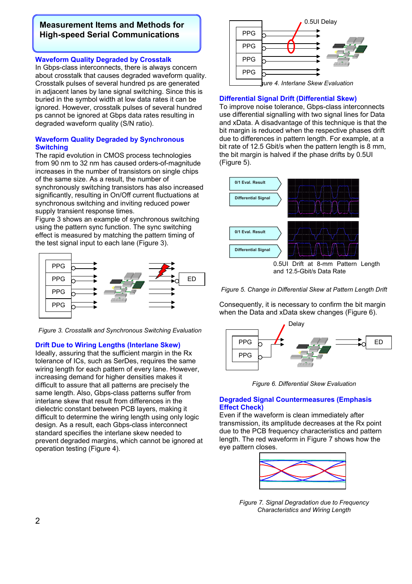# **Measurement Items and Methods for High-speed Serial Communications**

# **Waveform Quality Degraded by Crosstalk**

In Gbps-class interconnects, there is always concern about crosstalk that causes degraded waveform quality. Crosstalk pulses of several hundred ps are generated in adjacent lanes by lane signal switching. Since this is buried in the symbol width at low data rates it can be ignored. However, crosstalk pulses of several hundred ps cannot be ignored at Gbps data rates resulting in degraded waveform quality (S/N ratio).

# **Waveform Quality Degraded by Synchronous Switching**

The rapid evolution in CMOS process technologies from 90 nm to 32 nm has caused orders-of-magnitude increases in the number of transistors on single chips of the same size. As a result, the number of synchronously switching transistors has also increased significantly, resulting in On/Off current fluctuations at synchronous switching and inviting reduced power supply transient response times.

Figure 3 shows an example of synchronous switching using the pattern sync function. The sync switching effect is measured by matching the pattern timing of the test signal input to each lane (Figure 3).



*Figure 3. Crosstallk and Synchronous Switching Evaluation* 

# **Drift Due to Wiring Lengths (Interlane Skew)**

Ideally, assuring that the sufficient margin in the Rx tolerance of ICs, such as SerDes, requires the same wiring length for each pattern of every lane. However, increasing demand for higher densities makes it difficult to assure that all patterns are precisely the same length. Also, Gbps-class patterns suffer from interlane skew that result from differences in the dielectric constant between PCB layers, making it difficult to determine the wiring length using only logic design. As a result, each Gbps-class interconnect standard specifies the interlane skew needed to prevent degraded margins, which cannot be ignored at operation testing (Figure 4).



# **Differential Signal Drift (Differential Skew)**

To improve noise tolerance, Gbps-class interconnects use differential signalling with two signal lines for Data and xData. A disadvantage of this technique is that the bit margin is reduced when the respective phases drift due to differences in pattern length. For example, at a bit rate of 12.5 Gbit/s when the pattern length is 8 mm, the bit margin is halved if the phase drifts by 0.5UI (Figure 5).



and 12.5-Gbit/s Data Rate

*Figure 5. Change in Differential Skew at Pattern Length Drift* 

Consequently, it is necessary to confirm the bit margin when the Data and xData skew changes (Figure 6).





# **Degraded Signal Countermeasures (Emphasis Effect Check)**

Even if the waveform is clean immediately after transmission, its amplitude decreases at the Rx point due to the PCB frequency characteristics and pattern length. The red waveform in Figure 7 shows how the eye pattern closes.



*Figure 7. Signal Degradation due to Frequency Characteristics and Wiring Length*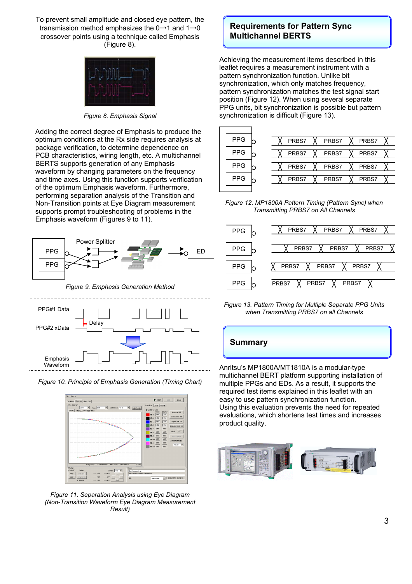To prevent small amplitude and closed eye pattern, the transmission method emphasizes the  $0 \rightarrow 1$  and  $1 \rightarrow 0$ crossover points using a technique called Emphasis (Figure 8).



*Figure 8. Emphasis Signal*

Adding the correct degree of Emphasis to produce the optimum conditions at the Rx side requires analysis at package verification, to determine dependence on PCB characteristics, wiring length, etc. A multichannel BERTS supports generation of any Emphasis waveform by changing parameters on the frequency and time axes. Using this function supports verification of the optimum Emphasis waveform. Furthermore, performing separation analysis of the Transition and Non-Transition points at Eye Diagram measurement supports prompt troubleshooting of problems in the Emphasis waveform (Figures 9 to 11).







*Figure 10. Principle of Emphasis Generation (Timing Chart)* 



*Figure 11. Separation Analysis using Eye Diagram (Non-Transition Waveform Eye Diagram Measurement Result)*

# **Requirements for Pattern Sync Multichannel BERTS**

Achieving the measurement items described in this leaflet requires a measurement instrument with a pattern synchronization function. Unlike bit synchronization, which only matches frequency, pattern synchronization matches the test signal start position (Figure 12). When using several separate PPG units, bit synchronization is possible but pattern synchronization is difficult (Figure 13).



*Figure 12. MP1800A Pattern Timing (Pattern Sync) when Transmitting PRBS7 on All Channels* 



*Figure 13. Pattern Timing for Multiple Separate PPG Units when Transmitting PRBS7 on all Channels* 



easy to use pattern synchronization function. Using this evaluation prevents the need for repeated evaluations, which shortens test times and increases product quality.

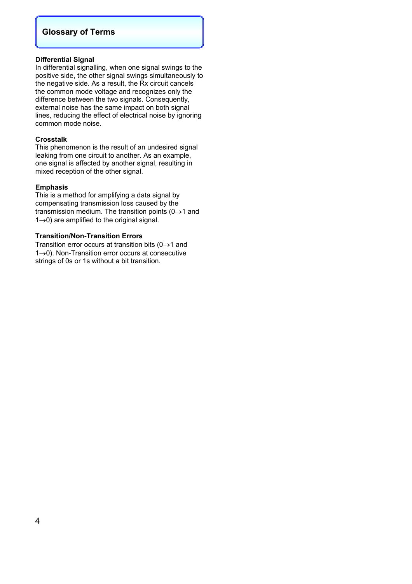# **Glossary of Terms**

# **Differential Signal**

In differential signalling, when one signal swings to the positive side, the other signal swings simultaneously to the negative side. As a result, the Rx circuit cancels the common mode voltage and recognizes only the difference between the two signals. Consequently, external noise has the same impact on both signal lines, reducing the effect of electrical noise by ignoring common mode noise.

# **Crosstalk**

This phenomenon is the result of an undesired signal leaking from one circuit to another. As an example, one signal is affected by another signal, resulting in mixed reception of the other signal.

# **Emphasis**

This is a method for amplifying a data signal by compensating transmission loss caused by the transmission medium. The transition points ( $0 \rightarrow 1$  and 1→0) are amplified to the original signal.

# **Transition/Non-Transition Errors**

Transition error occurs at transition bits ( $0 \rightarrow 1$  and 1→0). Non-Transition error occurs at consecutive strings of 0s or 1s without a bit transition.